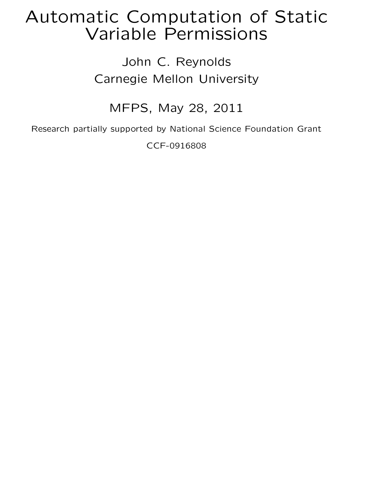# Automatic Computation of Static Variable Permissions

### John C. Reynolds Carnegie Mellon University

#### MFPS, May 28, 2011

Research partially supported by National Science Foundation Grant

CCF-0916808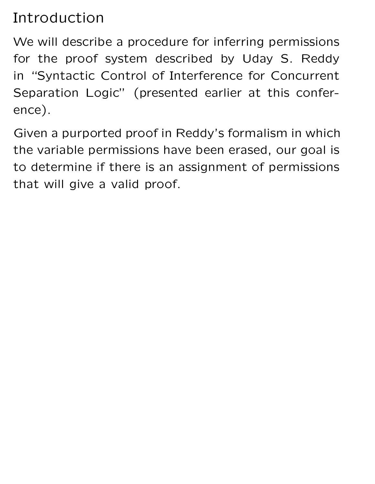# Introduction

We will describe a procedure for inferring permissions for the proof system described by Uday S. Reddy in "Syntactic Control of Interference for Concurrent Separation Logic" (presented earlier at this conference).

Given a purported proof in Reddy's formalism in which the variable permissions have been erased, our goal is to determine if there is an assignment of permissions that will give a valid proof.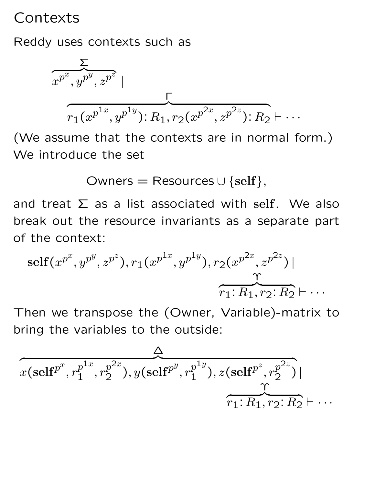## Contexts

Reddy uses contexts such as

$$
\frac{\sum}{x^{p^x}, y^{p^y}, z^{p^z}}
$$
\n
$$
\overbrace{r_1(x^{p^{1x}}, y^{p^{1y}}) : R_1, r_2(x^{p^{2x}}, z^{p^{2z}}) : R_2 \vdash \cdots}
$$

(We assume that the contexts are in normal form.) We introduce the set

Owners = Resources  $\cup$  {self},

and treat  $\Sigma$  as a list associated with self. We also break out the resource invariants as a separate part of the context:

self
$$
(x^{p^x}, y^{p^y}, z^{p^z})
$$
,  $r_1(x^{p^{1x}}, y^{p^{1y}})$ ,  $r_2(x^{p^{2x}}, z^{p^{2z}})$  |  
 $\overbrace{r_1: R_1, r_2: R_2}^{\text{T}} \vdash \cdots$ 

Then we transpose the (Owner, Variable)-matrix to bring the variables to the outside:

$$
\overbrace{x(\text{self}^{p^x}, r_1^{p^{1x}}, r_2^{p^{2x}}), y(\text{self}^{p^y}, r_1^{p^{1y}}), z(\text{self}^{p^z}, r_2^{p^{2z}})}^{\Delta}
$$
\n
$$
\overbrace{r_1: R_1, r_2: R_2 \vdash \cdots}
$$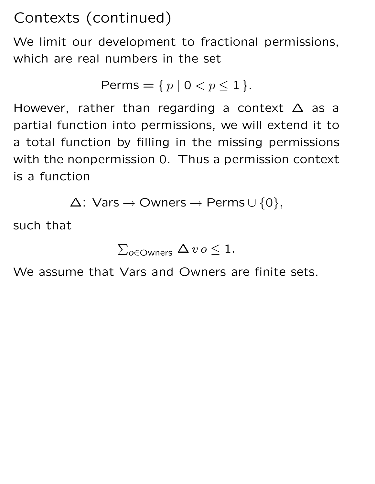Contexts (continued)

We limit our development to fractional permissions, which are real numbers in the set

$$
\text{Perms} = \{ p \mid 0 < p \le 1 \}.
$$

However, rather than regarding a context  $\Delta$  as a partial function into permissions, we will extend it to a total function by filling in the missing permissions with the nonpermission 0. Thus a permission context is a function

$$
\Delta: \text{Vars} \to \text{Owners} \to \text{Perms} \cup \{0\},
$$

such that

$$
\textstyle \sum_{o \in \text{OWners}} \Delta v o \leq 1.
$$

We assume that Vars and Owners are finite sets.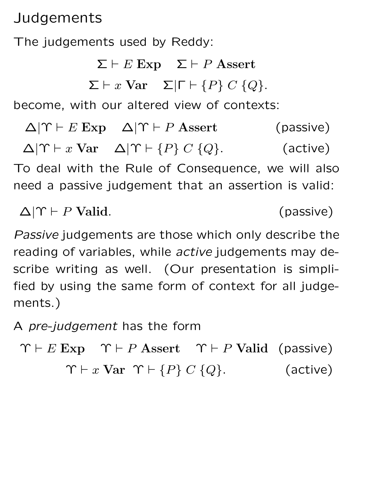Judgements

The judgements used by Reddy:

 $\Sigma \vdash E$  Exp  $\Sigma \vdash P$  Assert

$$
\Sigma \vdash x \text{ Var } \quad \Sigma | \Gamma \vdash \{P\} \ C \ \{Q\}.
$$

become, with our altered view of contexts:

 $\Delta|\Upsilon \vdash E$  Exp  $\Delta|\Upsilon \vdash P$  Assert (passive)  $\Delta|\Upsilon \vdash x \text{ Var } \Delta|\Upsilon \vdash \{P\} \ C \ \{Q\}.$  (active) To deal with the Rule of Consequence, we will also need a passive judgement that an assertion is valid:

 $\Delta|\Upsilon \vdash P$  Valid. (passive)

Passive judgements are those which only describe the reading of variables, while active judgements may describe writing as well. (Our presentation is simplified by using the same form of context for all judgements.)

A pre-judgement has the form

```
\Upsilon \vdash E Exp \Upsilon \vdash P Assert \Upsilon \vdash P Valid (passive)
           \Upsilon \vdash x Var \Upsilon \vdash \{P\} C \{Q\}. (active)
```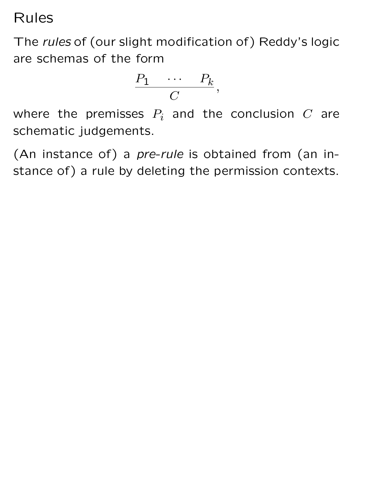Rules

The rules of (our slight modification of) Reddy's logic are schemas of the form

$$
\frac{P_1 \quad \cdots \quad P_k}{C},
$$

where the premisses  $P_i$  and the conclusion  $C$  are schematic judgements.

(An instance of) a pre-rule is obtained from (an instance of) a rule by deleting the permission contexts.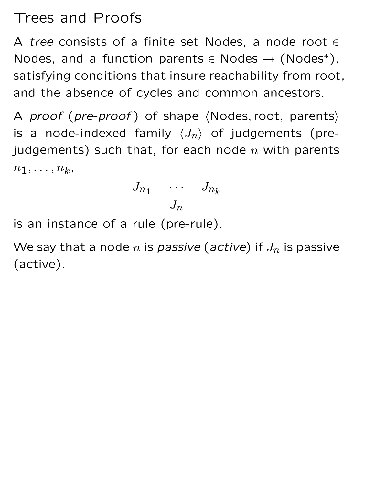## Trees and Proofs

A tree consists of a finite set Nodes, a node root  $\in$ Nodes, and a function parents  $\in$  Nodes  $\rightarrow$  (Nodes\*), satisfying conditions that insure reachability from root, and the absence of cycles and common ancestors.

A proof (pre-proof) of shape  $\langle$  Nodes, root, parents $\rangle$ is a node-indexed family  $\langle J_n \rangle$  of judgements (prejudgements) such that, for each node  $n$  with parents  $n_1, \ldots, n_k,$ 

$$
\frac{J_{n_1} \quad \cdots \quad J_{n_k}}{J_n}
$$

is an instance of a rule (pre-rule).

We say that a node n is passive (active) if  $J_n$  is passive (active).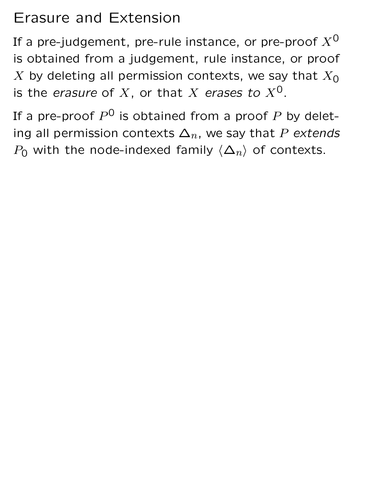## Erasure and Extension

If a pre-judgement, pre-rule instance, or pre-proof  $X^0$ is obtained from a judgement, rule instance, or proof X by deleting all permission contexts, we say that  $X_0$ is the erasure of X, or that X erases to  $X^0$ .

If a pre-proof  $P^{\mathsf{O}}$  is obtained from a proof  $P$  by deleting all permission contexts  $\Delta_n$ , we say that P extends  $P_0$  with the node-indexed family  $\langle \Delta_n \rangle$  of contexts.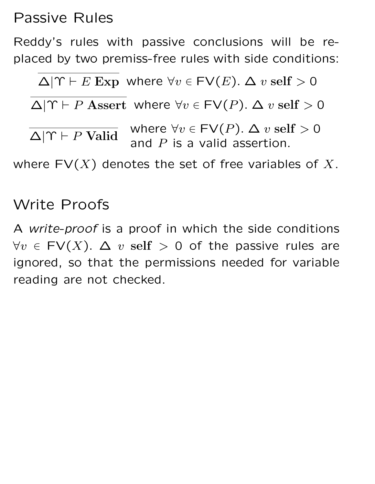Passive Rules

Reddy's rules with passive conclusions will be replaced by two premiss-free rules with side conditions:

 $\Delta|\Upsilon \vdash E$  Exp where  $\forall v \in \textsf{FV}(E)$ .  $\Delta v$  self  $> 0$  $\Delta|\Upsilon \vdash P$  Assert where  $\forall v \in \textsf{FV}(P)$ .  $\Delta v$  self > 0  $\Delta|\Upsilon \vdash P$  Valid where  $\forall v \in \textsf{FV}(P)$ .  $\Delta v$  self > 0 and  $P$  is a valid assertion. where  $FV(X)$  denotes the set of free variables of X.

### Write Proofs

A write-proof is a proof in which the side conditions  $\forall v \in FV(X)$ .  $\Delta v$  self  $> 0$  of the passive rules are ignored, so that the permissions needed for variable reading are not checked.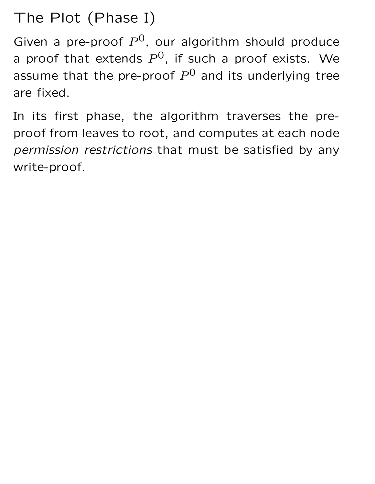The Plot (Phase I)

Given a pre-proof  $P^0$ , our algorithm should produce a proof that extends  $P^{0}$ , if such a proof exists. We assume that the pre-proof  $P^0$  and its underlying tree are fixed.

In its first phase, the algorithm traverses the preproof from leaves to root, and computes at each node permission restrictions that must be satisfied by any write-proof.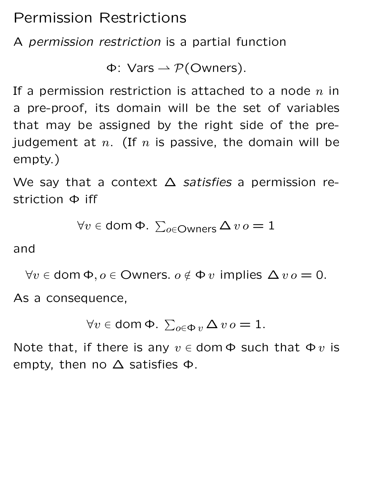Permission Restrictions

A permission restriction is a partial function

Φ: Vars  $\rightarrow$  P(Owners).

If a permission restriction is attached to a node  $n$  in a pre-proof, its domain will be the set of variables that may be assigned by the right side of the prejudgement at  $n.$  (If  $n$  is passive, the domain will be empty.)

We say that a context  $\Delta$  satisfies a permission restriction Φ iff

$$
\forall v \in \text{dom } \Phi. \ \Sigma_{o \in \text{Owners}} \Delta v o = 1
$$

and

 $\forall v \in \text{dom } \Phi, o \in \text{Owners. } o \notin \Phi v \text{ implies } \Delta v o = 0.$ 

As a consequence,

$$
\forall v \in \text{dom } \Phi. \ \sum_{o \in \Phi} v \Delta v o = 1.
$$

Note that, if there is any  $v \in$  dom  $\Phi$  such that  $\Phi v$  is empty, then no ∆ satisfies Φ.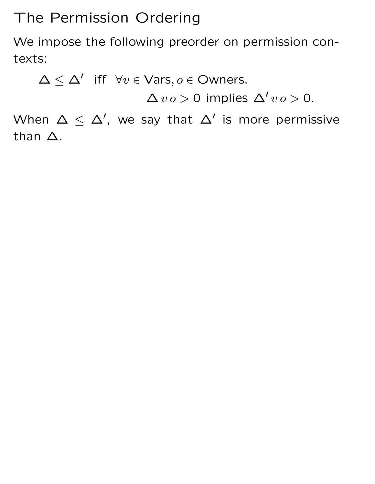## The Permission Ordering

We impose the following preorder on permission contexts:

 $\Delta \leq \Delta'$  iff  $\forall v \in \text{Vars}, o \in \text{Owners}.$ 

 $\Delta v o > 0$  implies  $\Delta' v o > 0$ .

When  $\Delta \leq \Delta'$ , we say that  $\Delta'$  is more permissive than ∆.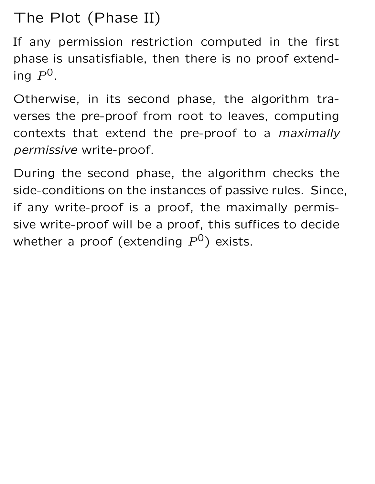# The Plot (Phase II)

If any permission restriction computed in the first phase is unsatisfiable, then there is no proof extending  $P^0$ .

Otherwise, in its second phase, the algorithm traverses the pre-proof from root to leaves, computing contexts that extend the pre-proof to a maximally permissive write-proof.

During the second phase, the algorithm checks the side-conditions on the instances of passive rules. Since, if any write-proof is a proof, the maximally permissive write-proof will be a proof, this suffices to decide whether a proof (extending  $P^0$ ) exists.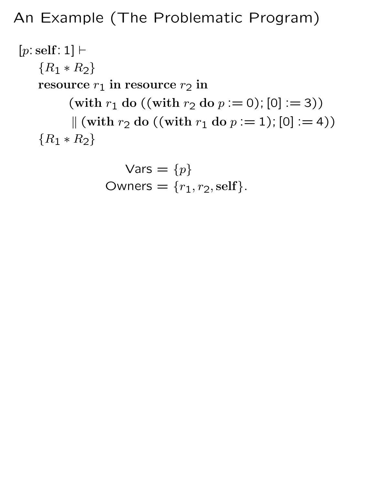## An Example (The Problematic Program)

 $[p: self: 1] \vdash$  ${R_1 * R_2}$ resource  $r_1$  in resource  $r_2$  in (with  $r_1$  do ((with  $r_2$  do  $p := 0$ ); [0] := 3))  $\|$  (with  $r_2$  do ((with  $r_1$  do  $p := 1$ ); [0] := 4))  ${R_1 * R_2}$ 

$$
Vars = {p}
$$
  
Owners = {r<sub>1</sub>, r<sub>2</sub>, self}.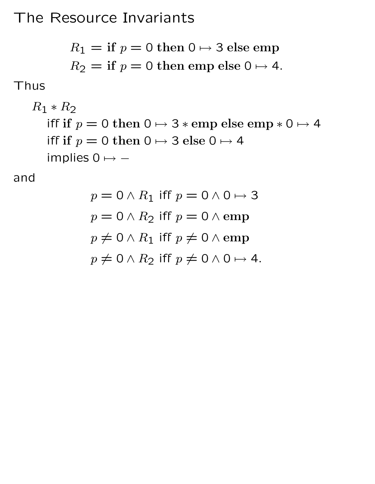## The Resource Invariants

$$
R_1
$$
 = if  $p = 0$  then  $0 \mapsto 3$  else emp  
 $R_2$  = if  $p = 0$  then emp else  $0 \mapsto 4$ .

#### Thus

$$
R_1 * R_2
$$
  
iff if  $p = 0$  then  $0 \mapsto 3 * \text{emp else } \text{emp} * 0 \mapsto 4$   
iff if  $p = 0$  then  $0 \mapsto 3 \text{ else } 0 \mapsto 4$   
implies  $0 \mapsto -$ 

and

$$
p = 0 \land R_1 \text{ iff } p = 0 \land 0 \mapsto 3
$$

$$
p = 0 \land R_2 \text{ iff } p = 0 \land \text{emp}
$$

$$
p \neq 0 \land R_1 \text{ iff } p \neq 0 \land \text{emp}
$$

$$
p \neq 0 \land R_2 \text{ iff } p \neq 0 \land 0 \mapsto 4.
$$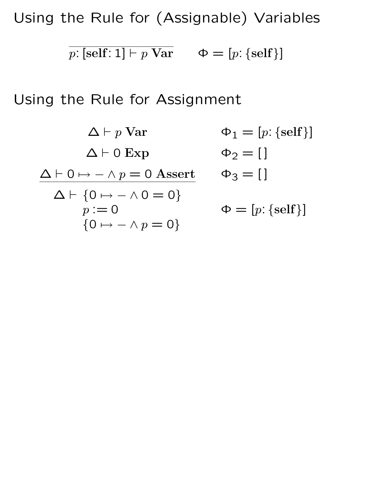Using the Rule for (Assignable) Variables

 $p: [\text{self}: 1] \vdash p \text{ Var } \qquad \Phi = [p: \{\text{self}\}]$ 

Using the Rule for Assignment

$$
\Delta \vdash p \text{ Var} \qquad \Phi_1 = [p: \{ \text{self} \}]
$$
  
\n
$$
\Delta \vdash 0 \mapsto - \land p = 0 \text{ Asset} \qquad \Phi_2 = []
$$
  
\n
$$
\Delta \vdash \{0 \mapsto - \land 0 = 0\}
$$
  
\n
$$
p := 0 \qquad \Phi = [p: \{ \text{self} \}]
$$
  
\n
$$
\{0 \mapsto - \land p = 0\}
$$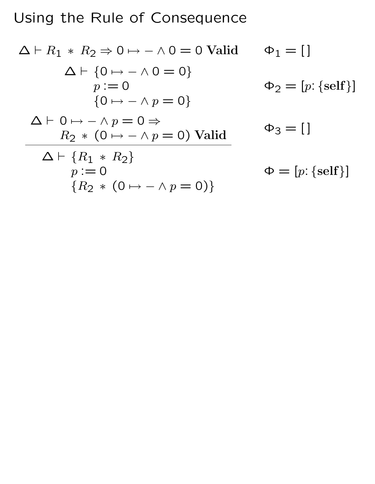# Using the Rule of Consequence

$$
\Delta \vdash R_1 * R_2 \Rightarrow 0 \mapsto - \land 0 = 0 \text{ Valid } \Phi_1 = []
$$
\n
$$
\Delta \vdash \{0 \mapsto - \land 0 = 0\}
$$
\n
$$
p := 0 \qquad \Phi_2 = [p: \{self\}]
$$
\n
$$
\{0 \mapsto - \land p = 0\}
$$
\n
$$
\Delta \vdash 0 \mapsto - \land p = 0 \Rightarrow \qquad \Phi_3 = []
$$
\n
$$
\Delta \vdash \{R_1 * R_2\}
$$
\n
$$
p := 0 \qquad \Phi = [p: \{self\}]
$$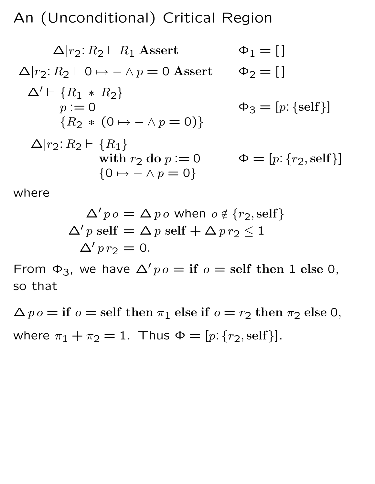An (Unconditional) Critical Region

$$
\Delta|r_2: R_2 \vdash R_1 \text{ Asset} \qquad \Phi_1 = []
$$
  
\n
$$
\Delta|r_2: R_2 \vdash 0 \mapsto - \land p = 0 \text{ Asset} \qquad \Phi_2 = []
$$
  
\n
$$
\Delta' \vdash \{R_1 * R_2\} \qquad \Phi_3 = [p: \{self\}]
$$
  
\n
$$
\{R_2 * (0 \mapsto - \land p = 0)\}
$$
  
\n
$$
\Delta|r_2: R_2 \vdash \{R_1\} \qquad \text{with } r_2 \text{ do } p := 0 \qquad \Phi = [p: \{r_2, self\}]
$$
  
\n
$$
\{0 \mapsto - \land p = 0\}
$$

where

$$
\Delta' p o = \Delta p o \text{ when } o \notin \{r_2, \text{self}\}
$$

$$
\Delta' p \text{ self} = \Delta p \text{ self} + \Delta p r_2 \le 1
$$

$$
\Delta' p r_2 = 0.
$$

From  $\Phi_3$ , we have  $\Delta' p o =$  if  $o =$  self then 1 else 0, so that

 $\Delta p o =$  if  $o =$  self then  $\pi_1$  else if  $o = r_2$  then  $\pi_2$  else 0, where  $\pi_1 + \pi_2 = 1$ . Thus  $\Phi = [p: \{r_2, \text{self}\}].$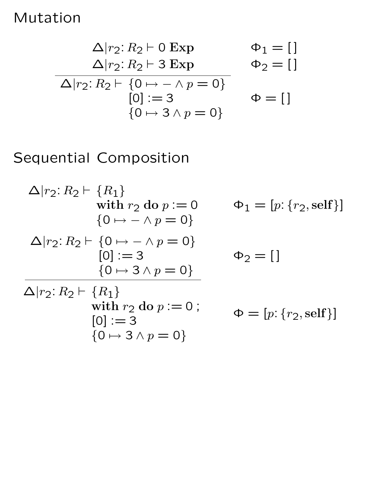#### Mutation

$$
\Delta|r_2: R_2 \vdash 0 \text{ Exp} \qquad \Phi_1 = []
$$
  
\n
$$
\Delta|r_2: R_2 \vdash 3 \text{ Exp} \qquad \Phi_2 = []
$$
  
\n
$$
\Delta|r_2: R_2 \vdash \{0 \mapsto - \land p = 0\}
$$
  
\n
$$
[0] := 3 \qquad \Phi = []
$$
  
\n
$$
\{0 \mapsto 3 \land p = 0\}
$$

### Sequential Composition

 $\Delta |r_2: R_2 \vdash \{R_1\}$ with  $r_2$  do  $p := 0$  ${0 \mapsto - \wedge p = 0}$  $\Phi_1 = [p: \{r_2, \text{self}\}]$  $\Delta |r_2: R_2 \vdash \{0 \mapsto - \wedge p = 0\}$  $[0] := 3$  ${0 \mapsto 3 \wedge p = 0}$  $\Phi_2 = [$  $\Delta |r_2: R_2 \vdash \{R_1\}$ with  $r_2$  do  $p := 0$ ;  $[0] := 3$  ${0 \mapsto 3 \wedge p = 0}$  $\Phi = [p: \{r_2, \text{self}\}]$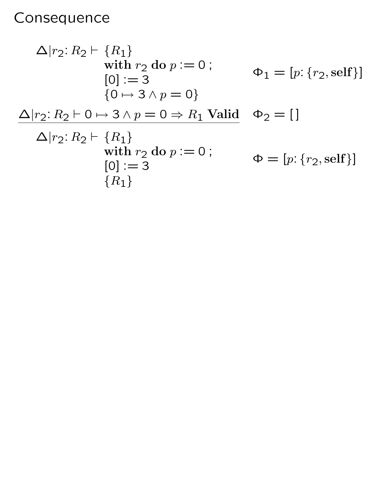# Consequence

$$
\Delta|r_2: R_2 \vdash \{R_1\}
$$
  
\nwith  $r_2$  do  $p := 0$ ;  
\n $[0] := 3$   
\n $\{0 \mapsto 3 \land p = 0\}$   
\n
$$
\Delta|r_2: R_2 \vdash 0 \mapsto 3 \land p = 0 \Rightarrow R_1 \text{ Valid } \Phi_2 = [ ]
$$
  
\n
$$
\Delta|r_2: R_2 \vdash \{R_1\}
$$
  
\nwith  $r_2$  do  $p := 0$ ;  
\n $[0] := 3$   
\n $\{R_1\}$   
\nwith  $\{R_1\}$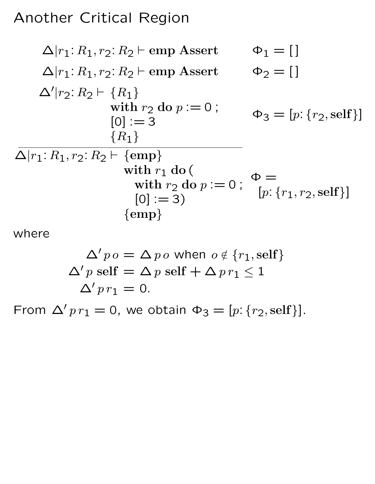### Another Critical Region

$$
\Delta|r_1: R_1, r_2: R_2 \vdash \text{emp Asset} \qquad \Phi_1 = []
$$
\n
$$
\Delta|r_1: R_1, r_2: R_2 \vdash \text{emp Asset} \qquad \Phi_2 = []
$$
\n
$$
\Delta'|r_2: R_2 \vdash \{R_1\}
$$
\nwith  $r_2$  do  $p := 0$ ;\n
$$
[0] := 3 \qquad \Phi_3 = [p: \{r_2, \text{self}\}]
$$
\n
$$
\Delta|r_1: R_1, r_2: R_2 \vdash \{\text{emp}\}
$$
\nwith  $r_1$  do (  
\nwith  $r_2$  do  $p := 0$ ;\n
$$
[0] := 3 \qquad \{\text{emp}\}
$$
\n
$$
[0] := 3 \qquad \{\text{emp}\}
$$

where

$$
\Delta' p o = \Delta p o \text{ when } o \notin \{r_1, \text{self}\}
$$

$$
\Delta' p \text{ self} = \Delta p \text{ self} + \Delta p r_1 \le 1
$$

$$
\Delta' p r_1 = 0.
$$

From  $\Delta' p r_1 = 0$ , we obtain  $\Phi_3 = [p: \{r_2, \text{self}\}].$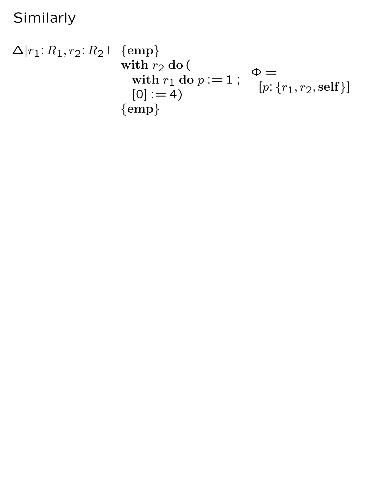Similarly

$$
\Delta|r_1: R_1, r_2: R_2 \vdash \{\text{emp}\}\n \text{with } r_2 \text{ do (with } r_1 \text{ do } p := 1; \quad \Phi = \text{[0] := 4)}\n \qquad \{0\} := 4
$$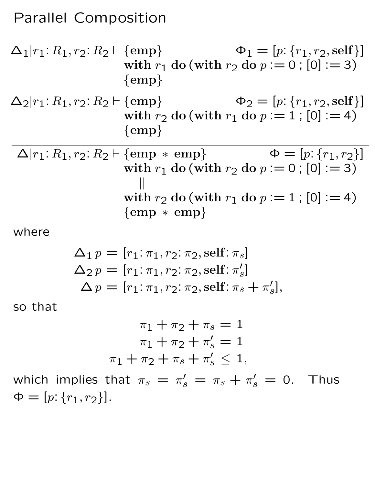#### Parallel Composition

$$
\Delta_1|r_1: R_1, r_2: R_2 \vdash \{\text{emp}\}\n\phi_1 = [p: \{r_1, r_2, \text{self}\}]
$$
\nwith  $r_1$  do (with  $r_2$  do  $p := 0$ ; [0] := 3)\n
$$
\{\text{emp}\}\n\Delta_2|r_1: R_1, r_2: R_2 \vdash \{\text{emp}\}\n\phi_2 = [p: \{r_1, r_2, \text{self}\}]
$$

with 
$$
r_2
$$
 do (with  $r_1$  do  $p := 1$ ; [0] := 4)  
{emp}

 $\Delta |r_1: R_1, r_2: R_2 \vdash \{\text{emp} * \text{emp}\}\qquad \qquad \Phi = [p: \{r_1, r_2\}]$ with  $r_1$  do (with  $r_2$  do  $p := 0$ ; [0] := 3)  $\parallel$ with  $r_2$  do (with  $r_1$  do  $p := 1$ ; [0] := 4) {emp ∗ emp}

where

$$
\Delta_1 p = [r_1: \pi_1, r_2: \pi_2, \text{self}: \pi_s]
$$
  
\n
$$
\Delta_2 p = [r_1: \pi_1, r_2: \pi_2, \text{self}: \pi'_s]
$$
  
\n
$$
\Delta p = [r_1: \pi_1, r_2: \pi_2, \text{self}: \pi_s + \pi'_s],
$$

so that

$$
\pi_1 + \pi_2 + \pi_s = 1
$$
  

$$
\pi_1 + \pi_2 + \pi'_s = 1
$$
  

$$
\pi_1 + \pi_2 + \pi_s + \pi'_s \le 1,
$$

which implies that  $\pi_s = \pi_s'$  $s' = \pi_s + \pi'_s = 0$ . Thus  $\Phi = [p: \{r_1, r_2\}].$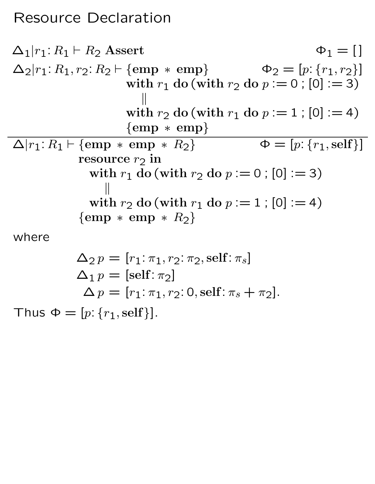## Resource Declaration

$$
\Delta_1|r_1: R_1 \vdash R_2 \text{ Asset} \qquad \Phi_1 = []
$$
\n
$$
\Delta_2|r_1: R_1, r_2: R_2 \vdash \{\text{emp} * \text{emp}\} \qquad \Phi_2 = [p: \{r_1, r_2\}]
$$
\nwith  $r_1$  do (with  $r_2$  do  $p := 0$ ; [0] := 3)  
\n
$$
\parallel
$$
\nwith  $r_2$  do (with  $r_1$  do  $p := 1$ ; [0] := 4)  
\n
$$
\{\text{emp} * \text{emp}\}
$$
\n
$$
\Delta|r_1: R_1 \vdash \{\text{emp} * \text{emp} * R_2\} \qquad \Phi = [p: \{r_1, \text{self}\}]
$$
\nresource  $r_2$  in  
\nwith  $r_1$  do (with  $r_2$  do  $p := 0$ ; [0] := 3)  
\n
$$
\parallel
$$
\nwith  $r_2$  do (with  $r_1$  do  $p := 1$ ; [0] := 4)  
\n
$$
\{\text{emp} * \text{emp} * R_2\}
$$

where

$$
\Delta_2 p = [r_1: \pi_1, r_2: \pi_2, \text{self}: \pi_s]
$$
  
\n
$$
\Delta_1 p = [\text{self}: \pi_2]
$$
  
\n
$$
\Delta p = [r_1: \pi_1, r_2: 0, \text{self}: \pi_s + \pi_2].
$$

Thus  $\Phi = [p: \{r_1, \text{self}\}].$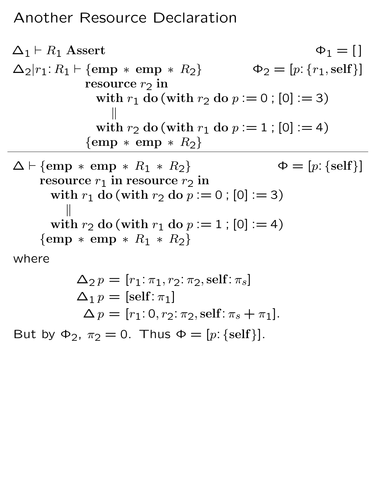## Another Resource Declaration

$$
\Delta_1 \vdash R_1 \text{ Asset} \qquad \varphi_1 = []
$$
\n
$$
\Delta_2 |r_1: R_1 \vdash \{\text{emp} * \text{emp} * R_2\} \qquad \varphi_2 = [p: \{r_1, \text{self}\}]
$$
\nresource  $r_2$  in  
\nwith  $r_1$  do (with  $r_2$  do  $p := 0$ ; [0] := 3)  
\n
$$
\parallel
$$
\nwith  $r_2$  do (with  $r_1$  do  $p := 1$ ; [0] := 4)  
\n
$$
\{\text{emp} * \text{emp} * R_2\}
$$
\n
$$
\Delta \vdash \{\text{emp} * \text{emp} * R_1 * R_2\} \qquad \varphi = [p: \{\text{self}\}]
$$
\nresource  $r_1$  in resource  $r_2$  in  
\nwith  $r_1$  do (with  $r_2$  do  $p := 0$ ; [0] := 3)  
\n
$$
\parallel
$$
\nwith  $r_2$  do (with  $r_1$  do  $p := 1$ ; [0] := 4)  
\n
$$
\{\text{emp} * \text{emp} * R_1 * R_2\}
$$
\nwhere

$$
\Delta_2 p = [r_1: \pi_1, r_2: \pi_2, \text{self}: \pi_s]
$$
  
\n
$$
\Delta_1 p = [\text{self}: \pi_1]
$$
  
\n
$$
\Delta p = [r_1: 0, r_2: \pi_2, \text{self}: \pi_s + \pi_1].
$$

But by  $\Phi_2$ ,  $\pi_2 = 0$ . Thus  $\Phi = [p: \{ \text{self} \}].$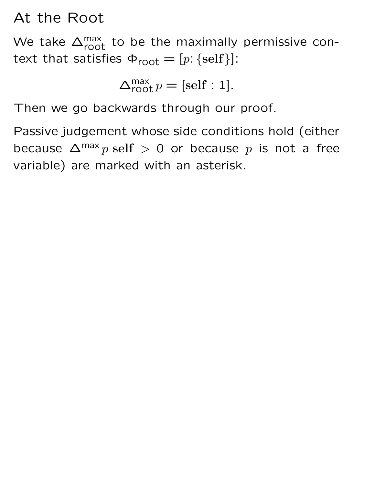### At the Root

We take  $\Delta_{\text{root}}^{\text{max}}$  to be the maximally permissive context that satisfies  $\Phi_{\text{root}} = [p: \{ \text{self} \} ]$ :

$$
\Delta_{\text{root}}^{\text{max}} p = [\text{self} : 1].
$$

Then we go backwards through our proof.

Passive judgement whose side conditions hold (either because  $\Delta^{\text{max}} p$  self > 0 or because p is not a free variable) are marked with an asterisk.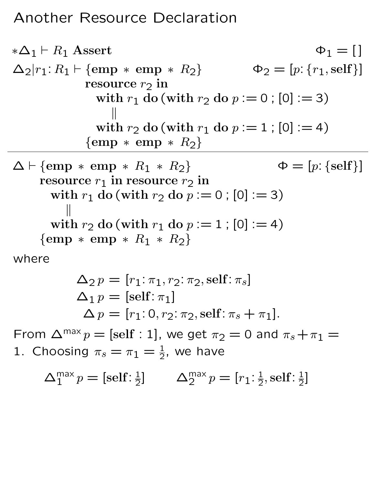### Another Resource Declaration

$$
\begin{array}{ll}\n *\Delta_1 \vdash R_1 \text{ Asset} & \varphi_1 = [] \\
 \Delta_2 | r_1 : R_1 \vdash \{ \text{emp} * \text{emp} * R_2 \} & \varphi_2 = [p: \{r_1, \text{self}\}] \\
 & \text{resource } r_2 \text{ in} & \text{with } r_1 \text{ do (with } r_2 \text{ do } p := 0 \text{ ; } [0] := 3) \\
 & \qquad \qquad \parallel & \text{with } r_2 \text{ do (with } r_1 \text{ do } p := 1 \text{ ; } [0] := 4) \\
 & \qquad \qquad \{ \text{emp} * \text{emp} * R_2 \} & \qquad \qquad \varphi = [p: \{ \text{self}\}] \\
 & \text{resource } r_1 \text{ in resource } r_2 \text{ in} & \text{with } r_1 \text{ do (with } r_2 \text{ do } p := 0 \text{ ; } [0] := 3) \\
 & \qquad \qquad \parallel & \text{with } r_2 \text{ do (with } r_1 \text{ do } p := 1 \text{ ; } [0] := 4) \\
 & \qquad \{ \text{emp} * \text{emp} * R_1 * R_2 \} & \n\end{array}
$$

where

$$
\Delta_2 p = [r_1: \pi_1, r_2: \pi_2, \text{self}: \pi_s]
$$
  
\n
$$
\Delta_1 p = [\text{self}: \pi_1]
$$
  
\n
$$
\Delta p = [r_1: 0, r_2: \pi_2, \text{self}: \pi_s + \pi_1].
$$

From  $\Delta^{\text{max}} p = [\text{self} : 1]$ , we get  $\pi_2 = 0$  and  $\pi_s + \pi_1 =$ 1. Choosing  $\pi_s = \pi_1 = \frac{1}{2}$ , we have

$$
\Delta_1^{\max} p = [\text{self}: \frac{1}{2}] \qquad \Delta_2^{\max} p = [r_1: \frac{1}{2}, \text{self}: \frac{1}{2}]
$$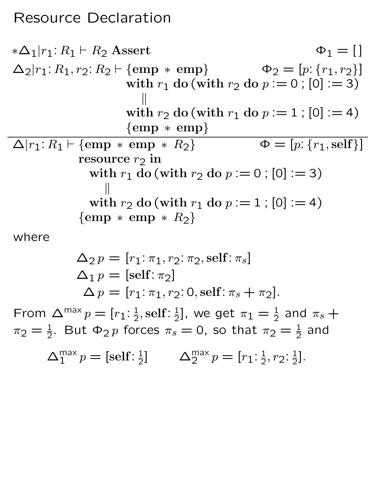#### Resource Declaration

$$
\begin{array}{ll}\n *\Delta_1|r_1: R_1 \vdash R_2 \text{ Asset} & \Phi_1 = [] \\
 \Delta_2|r_1: R_1, r_2: R_2 \vdash \{\text{emp} * \text{ emp}\} & \Phi_2 = [p: \{r_1, r_2\}] \\
 & \text{with } r_1 \text{ do (with } r_2 \text{ do } p := 0 \; ; [0] := 3) \\
 & \parallel \\
 & \text{with } r_2 \text{ do (with } r_1 \text{ do } p := 1 \; ; [0] := 4) \\
 & \{\text{emp} * \text{ emp}\} \\
 \Delta|r_1: R_1 \vdash \{\text{emp} * \text{emp} * R_2\} & \Phi = [p: \{r_1, \text{self}\}] \\
 & \text{resource } r_2 \text{ in} \\
 & \text{with } r_1 \text{ do (with } r_2 \text{ do } p := 0 \; ; [0] := 3) \\
 & \parallel \\
 & \text{with } r_2 \text{ do (with } r_1 \text{ do } p := 1 \; ; [0] := 4) \\
 & \{\text{emp} * \text{emp} * R_2\}\n\end{array}
$$

where

$$
\Delta_2 p = [r_1: \pi_1, r_2: \pi_2, \text{self}: \pi_s]
$$
  
\n
$$
\Delta_1 p = [\text{self}: \pi_2]
$$
  
\n
$$
\Delta p = [r_1: \pi_1, r_2: 0, \text{self}: \pi_s + \pi_2].
$$

From  $\Delta^{\text{max}} p = [r_1: \frac{1}{2}]$  $\frac{1}{2}$ , self :  $\frac{1}{2}$  $\frac{1}{2}$ ], we get  $\pi_1=\frac{1}{2}$  and  $\pi_s+$  $\pi_2=\frac{1}{2}$ . But  $\Phi_2\,p$  forces  $\pi_s=0$ , so that  $\pi_2=\frac{1}{2}$  and

 $\Delta_1^{\max} p = [\text{self}: \frac{1}{2}]$  $\frac{1}{2}$ ]  $\Delta_2^{\text{max}} p = [r_1: \frac{1}{2}]$  $\frac{1}{2}, r_2$ :  $\frac{1}{2}$  $\frac{1}{2}$ .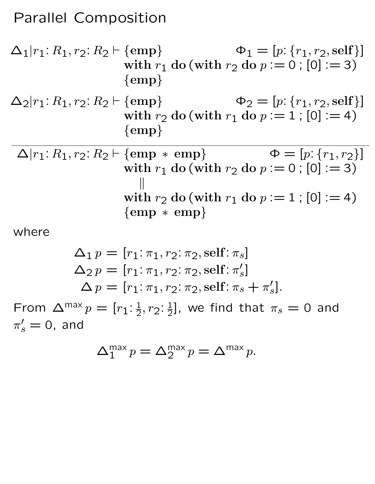#### Parallel Composition

$$
\Delta_1|r_1: R_1, r_2: R_2 \vdash \{\text{emp}\}\n\phi_1 = [p: \{r_1, r_2, \text{self}\}]
$$
\nwith  $r_1$  do (with  $r_2$  do  $p := 0$ ; [0] := 3)\n
$$
\{\text{emp}\}
$$

$$
\Delta_2|r_1: R_1, r_2: R_2 \vdash \{\text{emp}\}\n\begin{cases}\n\Phi_2 = [p: \{r_1, r_2, \text{self}\}] \\
\text{with } r_2 \text{ do (with } r_1 \text{ do } p := 1 \; ; [0] := 4) \\
\{\text{emp}\}\n\end{cases}
$$

 $\Delta|r_1: R_1, r_2: R_2 \vdash \{\text{emp} * \text{emp}\}\qquad \qquad \Phi = [p: \{r_1, r_2\}]$ with  $r_1$  do (with  $r_2$  do  $p := 0$ ; [0] := 3)  $\parallel$ with  $r_2$  do (with  $r_1$  do  $p := 1$ ; [0] := 4) {emp ∗ emp}

where

$$
\Delta_1 p = [r_1: \pi_1, r_2: \pi_2, \text{self}: \pi_s]
$$
  
\n
$$
\Delta_2 p = [r_1: \pi_1, r_2: \pi_2, \text{self}: \pi'_s]
$$
  
\n
$$
\Delta p = [r_1: \pi_1, r_2: \pi_2, \text{self}: \pi_s + \pi'_s].
$$

From  $\Delta^{\text{max}} p = [r_1: \frac{1}{2}]$  $\frac{1}{2}, r_2: \frac{1}{2}$  $\frac{1}{2}$ ], we find that  $\pi_s=0$  and  $\pi'_s = 0$ , and

$$
\Delta_1^{\max} p = \Delta_2^{\max} p = \Delta^{\max} p.
$$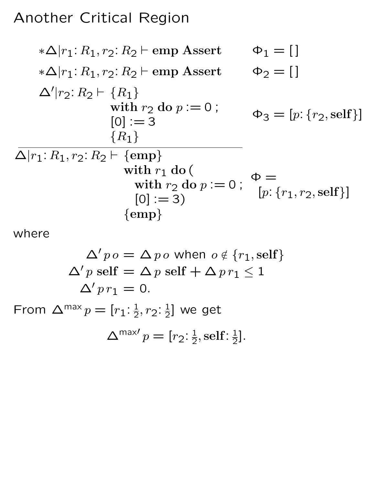## Another Critical Region

$$
\begin{array}{ll}\n *\Delta|r_1: R_1, r_2: R_2 \vdash \text{emp Asset} & \Phi_1 = [] \\
 *\Delta|r_1: R_1, r_2: R_2 \vdash \text{emp Asset} & \Phi_2 = [] \\
 \Delta'|r_2: R_2 \vdash \{R_1\} & \text{with } r_2 \text{ do } p := 0; \\
 & [0] := 3 & \Phi_3 = [p: \{r_2, \text{self}\}] \\
 & \overbrace{\Delta|r_1: R_1, r_2: R_2 \vdash \{\text{emp}\}}_{\text{with } r_1 \text{ do } (\text{with } r_2 \text{ do } p := 0; \Phi = \text{with } r_2 \text{ do } p := 0; \Phi = \text{with } r_3 \text{ (empty)} \\
 & [0] := 3) & \{\text{emp}\}\n\end{array}
$$

where

$$
\Delta' p o = \Delta p o \text{ when } o \notin \{r_1, \text{self}\}
$$

$$
\Delta' p \text{ self} = \Delta p \text{ self} + \Delta p r_1 \le 1
$$

$$
\Delta' p r_1 = 0.
$$

From  $\Delta^{\text{max}} p = [r_1: \frac{1}{2}]$  $\frac{1}{2}, r_2: \frac{1}{2}$  $\frac{1}{2}$ ] we get

$$
\Delta^{\max}p=[r_2:\frac{1}{2},\text{self}:\frac{1}{2}].
$$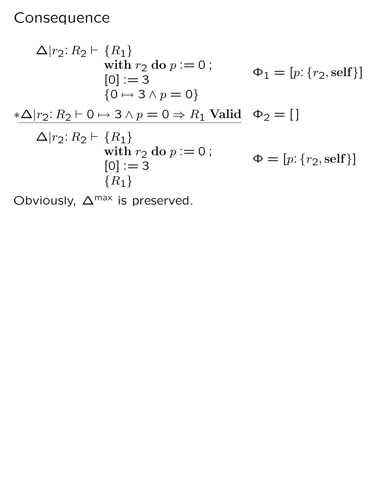## Consequence

$$
\Delta|r_2: R_2 \vdash \{R_1\}
$$
  
\nwith  $r_2$  do  $p := 0$ ;  
\n $[0] := 3$   
\n $\{0 \mapsto 3 \land p = 0\}$   
\n
$$
*\Delta|r_2: R_2 \vdash 0 \mapsto 3 \land p = 0 \Rightarrow R_1 \text{ Valid } \Phi_2 = []
$$
  
\n
$$
\Delta|r_2: R_2 \vdash \{R_1\}
$$
  
\nwith  $r_2$  do  $p := 0$ ;  
\n $[0] := 3$   
\n $\{R_1\}$   
\nwith  $\{R_2\}$ 

Obviously,  $\Delta^{\text{max}}$  is preserved.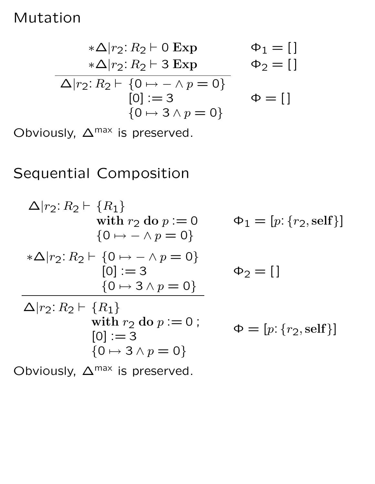### Mutation

$$
\begin{array}{ccc}\n\ast \Delta |r_2: R_2 \vdash 0 \text{ Exp} & \Phi_1 = [] \\
\ast \Delta |r_2: R_2 \vdash 3 \text{ Exp} & \Phi_2 = [] \\
\hline\n\Delta |r_2: R_2 \vdash \{0 \mapsto - \land p = 0\} & \Phi = [] \\
[0] := 3 & \Phi = [] \\
\{0 \mapsto 3 \land p = 0\}\n\end{array}
$$

Obviously,  $\Delta^{\text{max}}$  is preserved.

## Sequential Composition

$$
\Delta|r_2: R_2 \vdash \{R_1\} \text{with } r_2 \text{ do } p := 0 \qquad \Phi_1 = [p: \{r_2, \text{self}\}]
$$
  
\n
$$
\{0 \mapsto \land p = 0\}
$$
  
\n
$$
*\Delta|r_2: R_2 \vdash \{0 \mapsto \land p = 0\}
$$
  
\n
$$
[0] := 3 \qquad \Phi_2 = []
$$
  
\n
$$
\Delta|r_2: R_2 \vdash \{R_1\} \text{with } r_2 \text{ do } p := 0 ;
$$
  
\n
$$
[0] := 3 \qquad \Phi = [p: \{r_2, \text{self}\}]
$$
  
\n
$$
\{0 \mapsto 3 \land p = 0\}
$$
  
\nObviously,  $\Delta^{\text{max}}$  is preserved.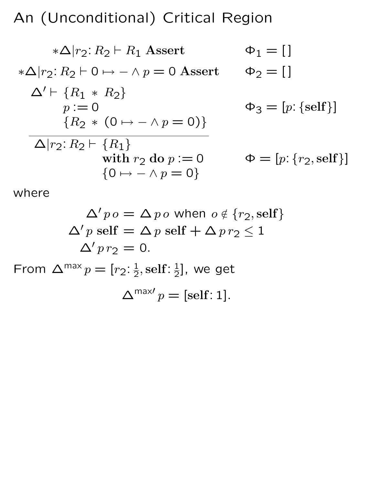An (Unconditional) Critical Region

$$
\begin{aligned}\n &\ast \Delta |r_2: R_2 \vdash R_1 \text{ Asset} & \Phi_1 = [] \\
 &\ast \Delta |r_2: R_2 \vdash 0 \mapsto - \land p = 0 \text{ Asset} & \Phi_2 = [] \\
 &\Delta' \vdash \{R_1 \ast R_2\} & p := 0 & \Phi_3 = [p: \{self\}] \\
 &\{R_2 \ast (0 \mapsto - \land p = 0)\} & \Delta |r_2: R_2 \vdash \{R_1\} & \text{with } r_2 \text{ do } p := 0 & \Phi = [p: \{r_2, self\}] \\
 &\{0 \mapsto - \land p = 0\}\n\end{aligned}
$$

where

$$
\Delta' p o = \Delta p o \text{ when } o \notin \{r_2, \text{self}\}\
$$

$$
\Delta' p \text{ self} = \Delta p \text{ self} + \Delta p r_2 \le 1
$$

$$
\Delta' p r_2 = 0.
$$

$$
\text{From } \Delta^{\text{max}} p = [r_2: \frac{1}{2}, \text{self}: \frac{1}{2}], \text{ we get}
$$

$$
\Delta^{\text{max}'} p = [\text{self}: 1].
$$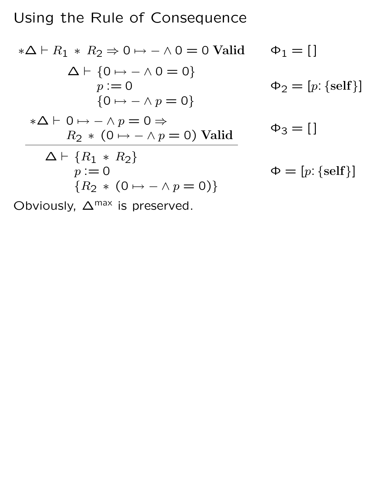## Using the Rule of Consequence

$$
*\Delta \vdash R_1 * R_2 \Rightarrow 0 \mapsto - \land 0 = 0 \text{ Valid } \Phi_1 = []
$$
  
\n
$$
\Delta \vdash \{0 \mapsto - \land 0 = 0\}
$$
  
\n
$$
p := 0 \qquad \Phi_2 = [p: \{self\}]
$$
  
\n
$$
*\Delta \vdash 0 \mapsto - \land p = 0 \Rightarrow
$$
  
\n
$$
R_2 * (0 \mapsto - \land p = 0) \text{ Valid } \Phi_3 = []
$$
  
\n
$$
\Delta \vdash \{R_1 * R_2\}
$$
  
\n
$$
p := 0 \qquad \Phi = [p: \{self\}]
$$
  
\n
$$
\{R_2 * (0 \mapsto - \land p = 0)\}
$$

Obviously,  $\Delta^{\text{max}}$  is preserved.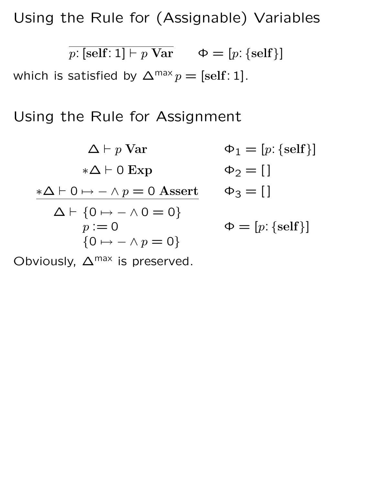Using the Rule for (Assignable) Variables

$$
\overline{p: [\text{self}:1] \vdash p \text{ Var}} \qquad \Phi = [p: \{\text{self}\}]
$$

which is satisfied by  $\Delta^{\text{max}} p = [\text{self}: 1]$ .

Using the Rule for Assignment

$$
\Delta \vdash p \text{ Var} \qquad \Phi_1 = [p: \{ \text{self} \}]
$$
  
\n
$$
*\Delta \vdash 0 \mapsto - \land p = 0 \text{ Assert} \qquad \Phi_2 = []
$$
  
\n
$$
\Delta \vdash \{0 \mapsto - \land 0 = 0\}
$$
  
\n
$$
p := 0 \qquad \Phi = [p: \{ \text{self} \}]
$$
  
\n
$$
\{0 \mapsto - \land p = 0\}
$$

Obviously,  $\Delta^{\text{max}}$  is preserved.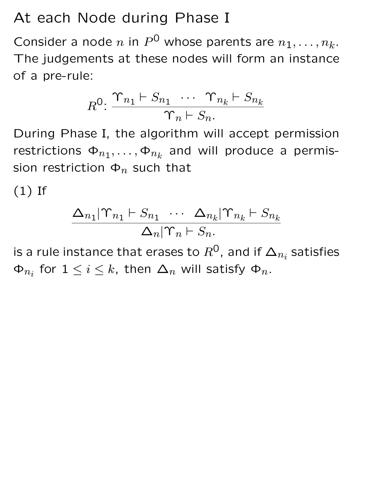## At each Node during Phase I

Consider a node n in  $P^0$  whose parents are  $n_1, \ldots, n_k$ . The judgements at these nodes will form an instance of a pre-rule:

$$
R^{0} \colon \frac{\Upsilon_{n_1} \vdash S_{n_1} \cdots \Upsilon_{n_k} \vdash S_{n_k}}{\Upsilon_n \vdash S_n}.
$$

During Phase I, the algorithm will accept permission restrictions  $\Phi_{n_1}, \ldots, \Phi_{n_k}$  and will produce a permission restriction  $\Phi_n$  such that

(1) If

$$
\frac{\Delta_{n_1}|\Upsilon_{n_1} \vdash S_{n_1} \cdots \Delta_{n_k}|\Upsilon_{n_k} \vdash S_{n_k}}{\Delta_n|\Upsilon_n \vdash S_n}.
$$

is a rule instance that erases to  $R^{\mathsf{O}}$ , and if  $\boldsymbol{\Delta}_{n_i}$  satisfies  $\Phi_{n_i}$  for  $1 \leq i \leq k$ , then  $\Delta_n$  will satisfy  $\Phi_n$ .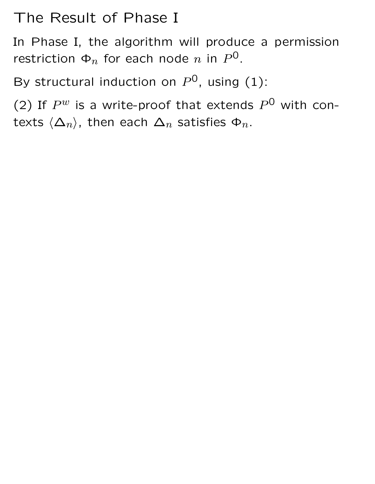## The Result of Phase I

In Phase I, the algorithm will produce a permission restriction  $\Phi_n$  for each node  $n$  in  $P^0$ .

By structural induction on  $P^0$ , using (1):

(2) If  $P^w$  is a write-proof that extends  $P^0$  with contexts  $\langle \Delta_n \rangle$ , then each  $\Delta_n$  satisfies  $\Phi_n$ .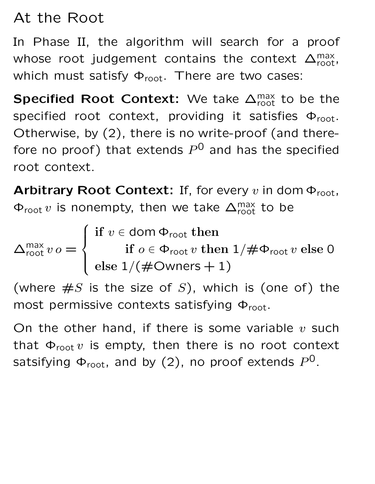## At the Root

In Phase II, the algorithm will search for a proof whose root judgement contains the context  $\Delta_{\text{root}}^{\text{max}}$ , which must satisfy  $\Phi_{\text{root}}$ . There are two cases:

Specified Root Context: We take  $\Delta_{\text{root}}^{\text{max}}$  to be the specified root context, providing it satisfies  $\Phi_{\text{root}}$ . Otherwise, by (2), there is no write-proof (and therefore no proof) that extends  $P^0$  and has the specified root context.

Arbitrary Root Context: If, for every v in dom  $\Phi_{\text{root}}$ ,  $\Phi_{\text{root}} v$  is nonempty, then we take  $\Delta_{\text{root}}^{\text{max}}$  to be

$$
\Delta_{\text{root}}^{\text{max}} v o = \begin{cases} \text{if } v \in \text{dom } \Phi_{\text{root}} \text{ then} \\ \text{if } o \in \Phi_{\text{root}} v \text{ then } 1/\# \Phi_{\text{root}} v \text{ else } 0 \\ \text{else } 1/(\# \text{OWners} + 1) \end{cases}
$$

(where  $\#S$  is the size of S), which is (one of) the most permissive contexts satisfying  $\Phi_{\text{root}}$ .

On the other hand, if there is some variable  $v$  such that  $\Phi_{\text{root}} v$  is empty, then there is no root context satsifying  $\Phi_\text{root}$ , and by (2), no proof extends  $P^{\mathsf{0}}.$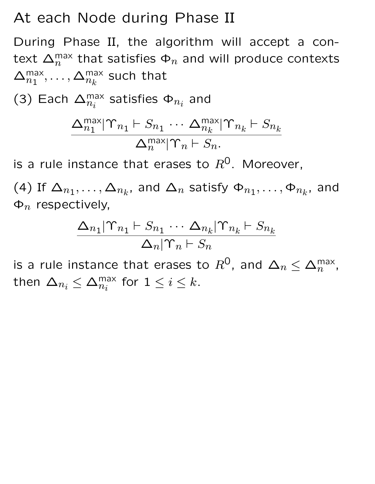#### At each Node during Phase II

During Phase II, the algorithm will accept a context  $\Delta_n^{\text{max}}$  that satisfies  $\Phi_n$  and will produce contexts  $\Delta_{n_1}^{\text{max}}, \ldots, \Delta_{n_k}^{\text{max}}$ such that

(3) Each  $\Delta_{n}^{\text{max}}$  $_{n_{i}}^{\mathsf{max}}$  satisfies  $\mathsf{\Phi}_{n_{i}}$  and

$$
\frac{\Delta_{n_1}^{\max}|\Upsilon_{n_1} \vdash S_{n_1} \cdots \Delta_{n_k}^{\max}|\Upsilon_{n_k} \vdash S_{n_k}}{\Delta_n^{\max}|\Upsilon_n \vdash S_n}.
$$

is a rule instance that erases to  $R^0$ . Moreover,

(4) If  $\Delta_{n_1}, \ldots, \Delta_{n_k}$ , and  $\Delta_n$  satisfy  $\Phi_{n_1}, \ldots, \Phi_{n_k}$ , and  $\Phi_n$  respectively,

$$
\frac{\Delta_{n_1}|\Upsilon_{n_1} \vdash S_{n_1} \cdots \Delta_{n_k}|\Upsilon_{n_k} \vdash S_{n_k}}{\Delta_n|\Upsilon_n \vdash S_n}
$$

is a rule instance that erases to  $R^0$ , and  $\Delta_n \leq \Delta_n^{\text{max}}$ , then  $\Delta_{n_i} \leq \Delta_{n_i}^{\text{max}}$  for  $1 \leq i \leq k$ .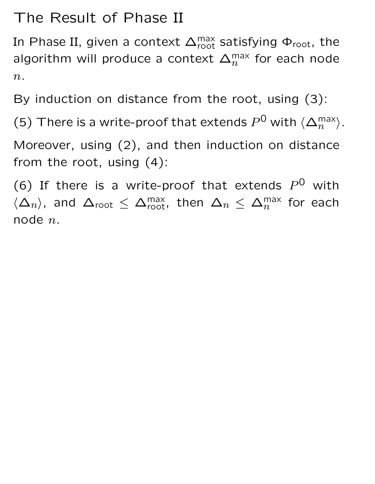## The Result of Phase II

In Phase II, given a context  $\Delta_{\text{root}}^{\text{max}}$  satisfying  $\Phi_{\text{root}}$ , the algorithm will produce a context  $\Delta_n^{\text{max}}$  for each node  $n$ .

By induction on distance from the root, using (3):

(5) There is a write-proof that extends  $P^0$  with  $\langle \Delta_n^{\text{max}} \rangle$ .

Moreover, using (2), and then induction on distance from the root, using (4):

(6) If there is a write-proof that extends  $P^0$  with  $\langle \Delta_n \rangle$ , and  $\Delta_{\text{root}} \leq \Delta_{\text{root}}^{\text{max}}$ , then  $\Delta_n \leq \Delta_n^{\text{max}}$  for each node n.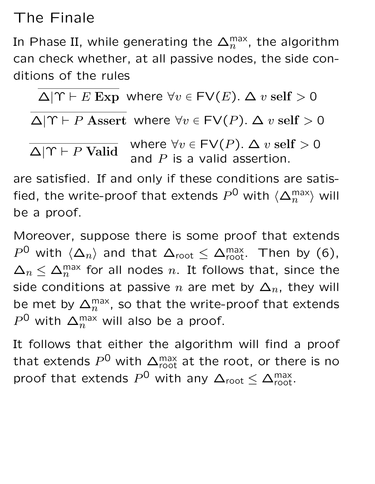## The Finale

In Phase II, while generating the  $\Delta_n^{\text{max}}$ , the algorithm can check whether, at all passive nodes, the side conditions of the rules

$$
\Delta|\Upsilon \vdash E \text{ Exp where } \forall v \in \text{FV}(E). \Delta v \text{ self} > 0
$$

 $\Delta|\Upsilon \vdash P$  Assert where  $\forall v \in \textsf{FV}(P)$ .  $\Delta v$  self > 0

$$
\overline{\Delta|\Upsilon \vdash P \text{ Valid}} \quad \text{where } \forall v \in \text{FV}(P). \ \Delta v \text{ self} > 0
$$
\n
$$
\text{and } P \text{ is a valid assertion.}
$$

are satisfied. If and only if these conditions are satisfied, the write-proof that extends  $P^\mathsf{O}$  with  $\langle\Delta_n^{\mathsf{max}}\rangle$  will be a proof.

Moreover, suppose there is some proof that extends  $P^{\mathsf{0}}$  with  $\langle \Delta_n \rangle$  and that  $\Delta_{\mathsf{root}} \leq \Delta_{\mathsf{root}}^{\mathsf{max}}$ . Then by (6),  $\Delta_n \leq \Delta_n^{\text{max}}$  for all nodes n. It follows that, since the side conditions at passive n are met by  $\Delta_n$ , they will be met by  $\Delta_n^{\text{max}}$ , so that the write-proof that extends  $P^{\mathsf{0}}$  with  $\Delta_n^{\max}$  will also be a proof.

It follows that either the algorithm will find a proof that extends  $P^\mathsf{O}$  with  $\Delta_\text{root}^\text{max}$  at the root, or there is no proof that extends  $P^0$  with any  $\Delta_{\text{root}} \leq \Delta_{\text{root}}^{\text{max}}$ .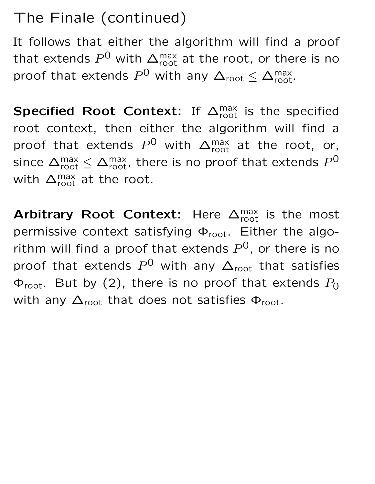## The Finale (continued)

It follows that either the algorithm will find a proof that extends  $P^\mathsf{O}$  with  $\Delta_\text{root}^\text{max}$  at the root, or there is no proof that extends  $P^0$  with any  $\Delta_{\text{root}} \leq \Delta_{\text{root}}^{\text{max}}$ .

Specified Root Context: If  $\Delta_{\text{root}}^{\text{max}}$  is the specified root context, then either the algorithm will find a proof that extends  $P^0$  with  $\Delta_{\text{root}}^{\text{max}}$  at the root, or, since  $\Delta_\text{root}^\text{max} \leq \Delta_\text{root}^\text{max}$ , there is no proof that extends  $P^\text{O}$ with  $\Delta_{\text{root}}^{\text{max}}$  at the root.

Arbitrary Root Context: Here  $\Delta_{\text{root}}^{\text{max}}$  is the most permissive context satisfying  $\Phi_{\text{root}}$ . Either the algorithm will find a proof that extends  $P^{0}$ , or there is no proof that extends  $P^0$  with any  $\Delta_{\text{root}}$  that satisfies  $\Phi_{\text{root}}$ . But by (2), there is no proof that extends  $P_0$ with any  $\Delta_{\text{root}}$  that does not satisfies  $\Phi_{\text{root}}$ .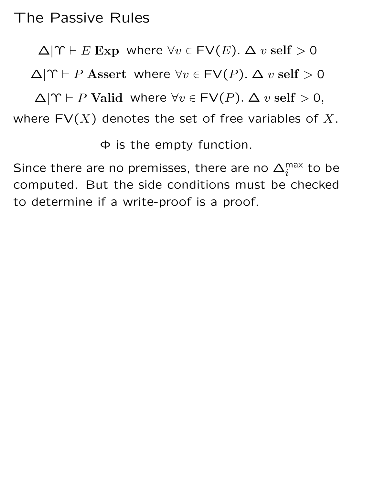### The Passive Rules

 $\Delta|\Upsilon \vdash E$  Exp where  $\forall v \in \textsf{FV}(E)$ .  $\Delta v$  self > 0  $\Delta|\Upsilon \vdash P$  Assert where  $\forall v \in \textsf{FV}(P)$ .  $\Delta v$  self > 0  $\Delta|\Upsilon \vdash P$  Valid where  $\forall v \in \textsf{FV}(P)$ .  $\Delta v$  self > 0, where  $FV(X)$  denotes the set of free variables of X.

Φ is the empty function.

Since there are no premisses, there are no  $\Delta_i^{\text{max}}$  to be computed. But the side conditions must be checked to determine if a write-proof is a proof.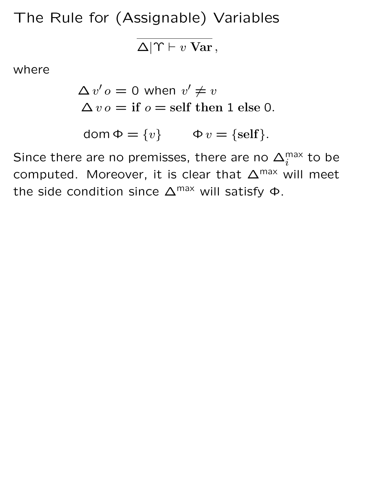The Rule for (Assignable) Variables

 $\overline{\Delta|\Upsilon \vdash v \text{ Var}}$ ,

where

$$
\Delta v' o = 0 \text{ when } v' \neq v
$$
  

$$
\Delta v o = \text{if } o = \text{self then } 1 \text{ else } 0.
$$

$$
\text{dom }\Phi = \{v\} \qquad \Phi v = \{\text{self}\}.
$$

Since there are no premisses, there are no  $\Delta_i^{\text{max}}$  to be computed. Moreover, it is clear that  $\Delta^{\text{max}}$  will meet the side condition since  $\Delta^{\text{max}}$  will satisfy  $\Phi$ .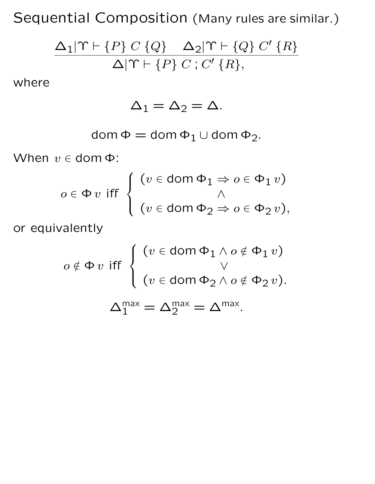Sequential Composition (Many rules are similar.)

$$
\frac{\Delta_1|\Upsilon \vdash \{P\} \ C \ \{Q\} \quad \Delta_2|\Upsilon \vdash \{Q\} \ C' \ \{R\}}{\Delta|\Upsilon \vdash \{P\} \ C \ ; \ C' \ \{R\},}
$$

where

$$
\Delta_1 = \Delta_2 = \Delta.
$$

$$
\operatorname{dom} \Phi = \operatorname{dom} \Phi_1 \cup \operatorname{dom} \Phi_2.
$$

When  $v \in$  dom  $\Phi$ :

$$
o \in \Phi \, v \text{ iff } \begin{cases} \begin{array}{c} (v \in \text{dom } \Phi_1 \Rightarrow o \in \Phi_1 \, v) \\ \wedge \\ (v \in \text{dom } \Phi_2 \Rightarrow o \in \Phi_2 \, v), \end{array} \end{cases}
$$

or equivalently

$$
o \notin \Phi v \text{ iff } \left\{ \begin{array}{l} (v \in \text{dom } \Phi_1 \land o \notin \Phi_1 v) \\ \lor \\ (v \in \text{dom } \Phi_2 \land o \notin \Phi_2 v). \end{array} \right.
$$

$$
\Delta_1^{\max} = \Delta_2^{\max} = \Delta^{\max}.
$$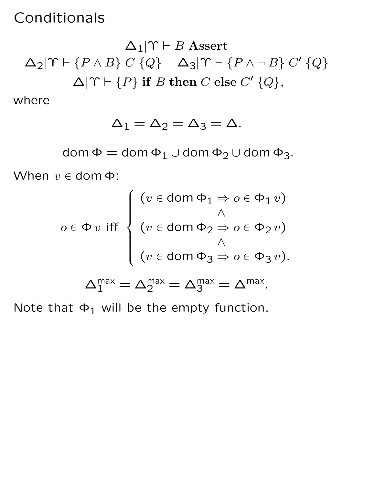#### Conditionals

 $\Delta_1|\Upsilon \vdash B$  Assert  $\Delta_2|\Upsilon \vdash \{P \wedge B\} \ C \ Q\}$   $\Delta_3|\Upsilon \vdash \{P \wedge \neg B\} \ C' \ Q\}$  $\Delta|\Upsilon \vdash \{P\}$  if B then C else C'  $\{Q\},\$ 

where

$$
\Delta_1 = \Delta_2 = \Delta_3 = \Delta.
$$

dom  $\Phi =$  dom  $\Phi_1 \cup$  dom  $\Phi_2 \cup$  dom  $\Phi_3$ .

When  $v \in$  dom  $\Phi$ :

$$
o \in \Phi \, v \text{ iff } \begin{cases} (v \in \text{dom } \Phi_1 \Rightarrow o \in \Phi_1 \, v) \\ (v \in \text{dom } \Phi_2 \Rightarrow o \in \Phi_2 \, v) \\ (v \in \text{dom } \Phi_3 \Rightarrow o \in \Phi_3 \, v). \\ (\infty \in \text{dom } \Phi_3 \Rightarrow o \in \Phi_3 \, v). \end{cases}
$$

$$
\Delta_1^{\text{max}} = \Delta_2^{\text{max}} = \Delta_3^{\text{max}} = \Delta^{\text{max}}.
$$

Note that  $\Phi_1$  will be the empty function.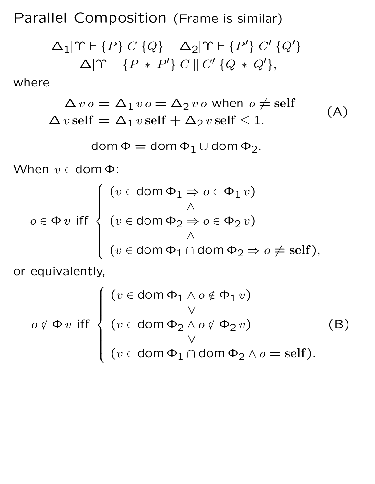Parallel Composition (Frame is similar)

$$
\frac{\Delta_1|\Upsilon \vdash \{P\} \ C \ \{Q\} \quad \Delta_2|\Upsilon \vdash \{P'\} \ C' \ \{Q'\}}{\Delta|\Upsilon \vdash \{P \ * \ P'\} \ C \parallel C' \ \{Q \ * \ Q'\},}
$$

where

$$
\Delta v o = \Delta_1 v o = \Delta_2 v o \text{ when } o \neq \text{self}
$$
  
 
$$
\Delta v \text{ self} = \Delta_1 v \text{ self} + \Delta_2 v \text{ self} \leq 1.
$$
 (A)

$$
dom \Phi = dom \Phi_1 \cup dom \Phi_2.
$$

When  $v \in$  dom  $\Phi$ :

$$
o \in \Phi \, v \text{ iff } \begin{cases} (v \in \text{dom } \Phi_1 \Rightarrow o \in \Phi_1 \, v) \\ (v \in \text{dom } \Phi_2 \Rightarrow o \in \Phi_2 \, v) \\ (v \in \text{dom } \Phi_1 \cap \text{dom } \Phi_2 \Rightarrow o \neq \text{self}), \end{cases}
$$

or equivalently,

$$
o \notin \Phi v \text{ iff } \begin{cases} (v \in \text{dom } \Phi_1 \land o \notin \Phi_1 v) \\ (v \in \text{dom } \Phi_2 \land o \notin \Phi_2 v) \\ \lor \\ (v \in \text{dom } \Phi_1 \cap \text{dom } \Phi_2 \land o = \text{self}). \end{cases} (B)
$$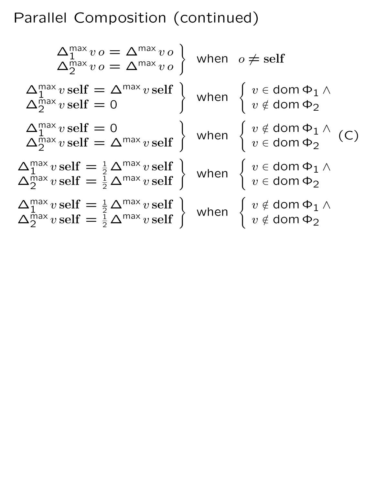## Parallel Composition (continued)

 $\Delta_1^{\text{max}} v o = \Delta^{\text{max}} v o$  $\Delta_1^{\text{max}} v o = \Delta^{\text{max}} v o$ <br>  $\Delta_2^{\text{max}} v o = \Delta^{\text{max}} v o$ when  $o\neq \operatorname{self}$  $\Delta_1^{\text{max}} v \, \text{self} = \Delta^{\text{max}} v \, \text{self}$  $\Delta_1^{\text{max}} v \text{ self} = \Delta^{\text{max}} v \text{ self}$ <br>  $\Delta_2^{\text{max}} v \text{ self} = 0$  when  $\begin{cases} v \in \text{dom } \Phi_1 \wedge \\ v \notin \text{dom } \Phi_2 \end{cases}$  $v\notin$  dom  $\Phi_2$  $\Delta_1^{\max} v \, \text{self} = 0$  $\Delta_1^{\text{max}} v \text{ self} = 0$ <br>  $\Delta_2^{\text{max}} v \text{ self} = \Delta^{\text{max}} v \text{ self}$  when  $\begin{cases} v \notin \text{dom } \Phi_1 \wedge \\ v \in \text{dom } \Phi_2 \end{cases}$  $v \in \text{\sf dom } \Phi_2$  $\Delta_1^{\max} v \operatorname{self} = \frac{1}{2} \Delta^{\max} v \operatorname{self}$  $\Delta_1^{\text{max}} v \text{ self} = \frac{1}{2} \Delta^{\text{max}} v \text{ self}$  when  $\begin{cases} v \in \text{dom } \Phi_1 \wedge \Delta_2^{\text{max}} v \text{ self} = \frac{1}{2} \Delta^{\text{max}} v \text{ self} \end{cases}$  when  $\begin{cases} v \in \text{dom } \Phi_1 \wedge \ldots \wedge \omega_m^{\text{max}} v \text{ self} \end{cases}$  $v \in \text{\sf dom}\, \Phi_2$  $\Delta_1^{\max} v \, \text{self} = \frac{1}{2} \, \Delta^{\max} v \, \text{self}$  $\Delta_1^{\text{max}} v \text{ self} = \frac{1}{2} \Delta^{\text{max}} v \text{ self}$ <br>  $\Delta_2^{\text{max}} v \text{ self} = \frac{1}{2} \Delta^{\text{max}} v \text{ self}$  when  $\begin{cases} v \notin \text{dom } \Phi_1 \wedge \\ v \notin \text{dom } \Phi_2 \end{cases}$  $v\notin$  dom  $\Phi_2$ (C)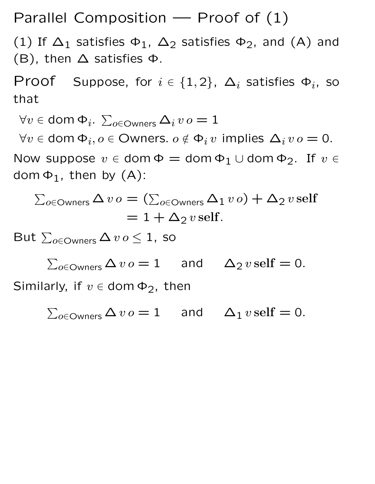Parallel Composition  $-$  Proof of  $(1)$ 

(1) If  $\Delta_1$  satisfies  $\Phi_1$ ,  $\Delta_2$  satisfies  $\Phi_2$ , and (A) and (B), then  $\Delta$  satisfies  $\Phi$ .

Proof Suppose, for  $i \in \{1,2\}$ ,  $\Delta_i$  satisfies  $\Phi_i$ , so that

 $\forall v \in {\mathsf{dom}}\, \Phi_i. \, \sum_{o \in {\mathsf{Owners}}} \Delta_i \, v\, o = 1$ 

 $\forall v \in \text{dom } \Phi_i, o \in \text{Owners. } o \notin \Phi_i v \text{ implies } \Delta_i v o = 0.$ 

Now suppose  $v \in \text{dom } \Phi = \text{dom } \Phi_1 \cup \text{dom } \Phi_2$ . If  $v \in$ dom  $\Phi_1$ , then by  $(A)$ :

$$
\sum_{o \in \text{OWners}} \Delta v o = (\sum_{o \in \text{OWners}} \Delta_1 v o) + \Delta_2 v \, \text{self}
$$

$$
= 1 + \Delta_2 v \, \text{self}.
$$

But  $\sum_{o \in \text{Owners}} \Delta v o \leq 1$ , so

$$
\sum_{o \in \text{OWners}} \Delta v o = 1 \quad \text{and} \quad \Delta_2 v \, \text{self} = 0.
$$

Similarly, if  $v \in$  dom  $\Phi_2$ , then

 $\sum_{o \in \textsf{Owners}} \Delta v o = 1$  and  $\Delta_1 v \, \text{self} = 0.$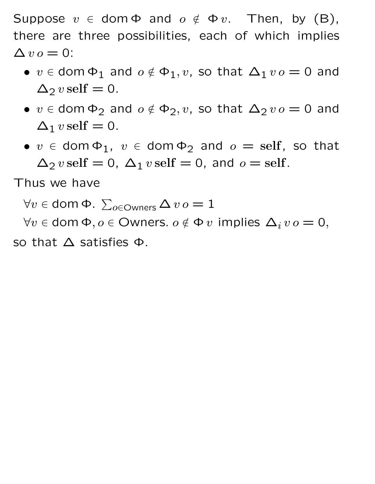Suppose  $v \in \text{dom } \Phi$  and  $o \notin \Phi v$ . Then, by (B), there are three possibilities, each of which implies  $\Delta v \, o = 0$ :

- $v \in$  dom  $\Phi_1$  and  $o \notin \Phi_1, v$ , so that  $\Delta_1 v o = 0$  and  $\Delta_2 v$  self = 0.
- $v \in$  dom  $\Phi_2$  and  $o \notin \Phi_2, v$ , so that  $\Delta_2 v o = 0$  and  $\Delta_1 v$  self = 0.
- $v \in$  dom  $\Phi_1$ ,  $v \in$  dom  $\Phi_2$  and  $o =$  self, so that  $\Delta_2 v$  self = 0,  $\Delta_1 v$  self = 0, and  $o =$  self.

Thus we have

 $\forall v \in$  dom  $\Phi$ .  $\sum_{o \in \textsf{Owners}} \Delta\, v\, o = 1$ 

 $\forall v \in \text{dom } \Phi, o \in \text{Owners. } o \notin \Phi v \text{ implies } \Delta_i v o = 0,$ so that  $\Delta$  satisfies  $\Phi$ .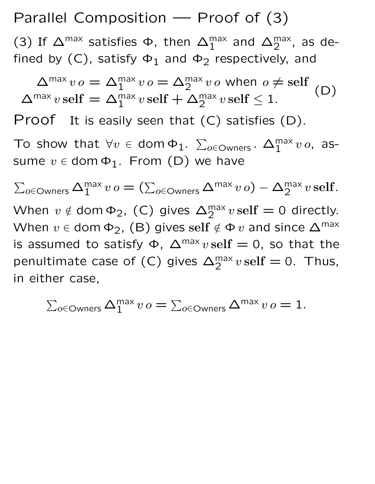Parallel Composition — Proof of (3)

(3) If  $\Delta^{\text{max}}$  satisfies  $\Phi$ , then  $\Delta_1^{\text{max}}$  and  $\Delta_2^{\text{max}}$ , as defined by  $(C)$ , satisfy  $\Phi_1$  and  $\Phi_2$  respectively, and

 $\Delta^{\max} v \, o = \Delta_1^{\max} v \, o = \Delta_2^{\max} v \, o$  when  $o \neq \text{self}$  $\Delta^{\max}v\,\text{self} = \Delta^{\max}_1v\,\text{self} + \Delta^{\max}_2v\,\text{self} \leq 1.$ (D) Proof It is easily seen that (C) satisfies (D). To show that  $\forall v \in \text{dom } \Phi_1$ .  $\sum_{o \in \text{Owners}}$ .  $\Delta_1^{\text{max}} v o$ , assume  $v \in$  dom  $\Phi_1$ . From (D) we have  $\sum_{o \in \textsf{Owners}} \Delta_1^{\textsf{max}} \, v \, o = (\sum_{o \in \textsf{Owners}} \Delta^{\textsf{max}} \, v \, o) - \Delta_2^{\textsf{max}} \, v \, \textsf{self}.$ When  $v \notin \text{dom } \Phi_2$ , (C) gives  $\Delta_2^{\text{max}} v \, \text{self} = 0$  directly. When  $v \in$  dom  $\Phi_2$ , (B) gives self  $\notin \Phi v$  and since  $\Delta^{\text{max}}$ is assumed to satisfy  $\Phi$ ,  $\Delta^{\text{max}} v \, \text{self} = 0$ , so that the penultimate case of (C) gives  $\Delta_2^{\text{max}} v \text{ self } = 0$ . Thus,

 $\sum_{o\in \textsf{Owners}}\Delta_1^{\textsf{max}}\,v\,o=\sum_{o\in \textsf{Owners}}\Delta^{\textsf{max}}\,v\,o=1.$ 

in either case,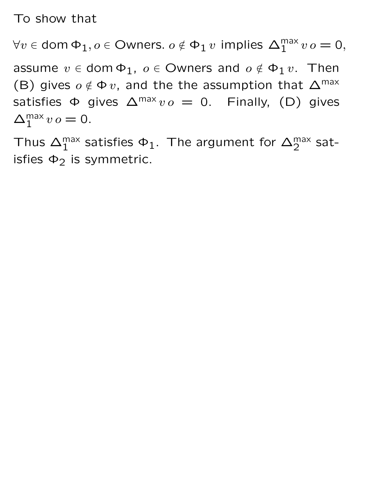To show that

 $\forall v \in \mathsf{dom}\, \Phi_1, o \in \mathsf{Owners}.~o \notin \Phi_1\, v \, \text{ implies } \, \Delta_1^{\mathsf{max}}\, v\, o = \mathsf{0},$ 

assume  $v \in$  dom  $\Phi_1$ ,  $o \in$  Owners and  $o \notin \Phi_1 v$ . Then (B) gives  $o \notin \Phi v$ , and the the assumption that  $\Delta^{\text{max}}$ satisfies  $\Phi$  gives  $\Delta^{\text{max}} v o = 0$ . Finally, (D) gives  $\Delta_1^{\text{max}} v o = 0.$ 

Thus  $\Delta_1^{\text{max}}$  satisfies  $\Phi_1$ . The argument for  $\Delta_2^{\text{max}}$  satisfies  $\Phi_2$  is symmetric.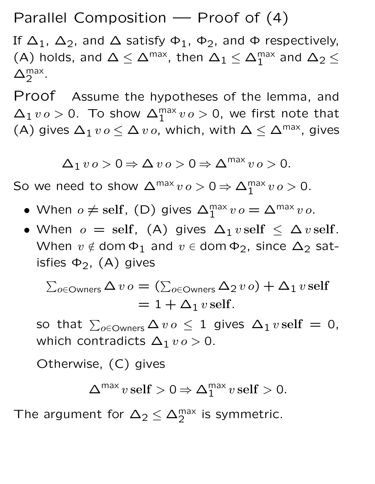Parallel Composition — Proof of (4)

If  $\Delta_1$ ,  $\Delta_2$ , and  $\Delta$  satisfy  $\Phi_1$ ,  $\Phi_2$ , and  $\Phi$  respectively, (A) holds, and  $\Delta \leq \Delta^\text{max}$ , then  $\Delta_1 \leq \Delta_1^\text{max}$  and  $\Delta_2 \leq$  $\Delta_2^{\text{max}}$ .

Proof Assume the hypotheses of the lemma, and  $\Delta_1 v o > 0$ . To show  $\Delta_1^{\text{max}} v o > 0$ , we first note that (A) gives  $\Delta_1 v o \leq \Delta v o$ , which, with  $\Delta \leq \Delta^{\text{max}}$ , gives

 $\Delta_1 v o > 0 \Rightarrow \Delta v o > 0 \Rightarrow \Delta^{\text{max}} v o > 0.$ 

So we need to show  $\Delta^{\max} v o > 0 \Rightarrow \Delta_1^{\max} v o > 0$ .

- When  $o \neq \text{self}$ , (D) gives  $\Delta_1^{\text{max}} v o = \Delta^{\text{max}} v o$ .
- When  $o = \text{self}$ , (A) gives  $\Delta_1 v \text{ self} \leq \Delta v \text{ self}$ . When  $v \notin$  dom  $\Phi_1$  and  $v \in$  dom  $\Phi_2$ , since  $\Delta_2$  satisfies  $\Phi_2$ , (A) gives

 $\sum_{o \in \mathsf{Owners}} \Delta \, v \, o = (\sum_{o \in \mathsf{Owners}} \Delta_2 \, v \, o) + \Delta_1 \, v \, \text{self}$  $= 1 + \Delta_1 v$  self.

so that  $\sum_{o \in \textsf{Owners}} \Delta\, v\, o\, \leq\, 1\,$  gives  $\Delta_1\, v\, \text{self}\,=\,0,$ which contradicts  $\Delta_1$   $vo > 0$ .

Otherwise, (C) gives

$$
\Delta^{\max} v \, \text{self} > 0 \Rightarrow \Delta_1^{\max} v \, \text{self} > 0.
$$

The argument for  $\Delta_2 \leq \Delta_2^{\text{max}}$  is symmetric.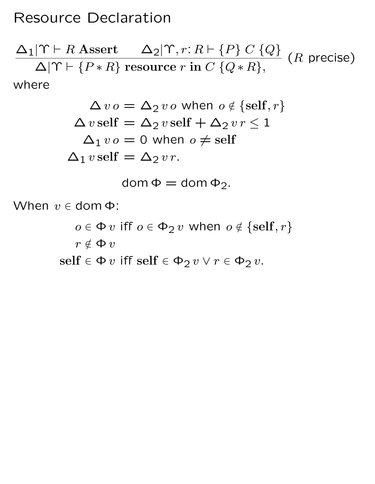#### Resource Declaration

$$
\frac{\Delta_1|\Upsilon \vdash R \text{ Asset} \Delta_2|\Upsilon, r: R \vdash \{P\} \ C \ \{Q\}}{\Delta|\Upsilon \vdash \{P * R\} \text{ resource } r \text{ in } C \ \{Q * R\}},
$$
\nwhere

$$
\Delta v o = \Delta_2 v o \text{ when } o \notin \{ \text{self}, r \}
$$

$$
\Delta v \text{ self} = \Delta_2 v \text{ self} + \Delta_2 v r \le 1
$$

$$
\Delta_1 v o = 0 \text{ when } o \ne \text{ self}
$$

$$
\Delta_1 v \text{ self} = \Delta_2 v r.
$$

$$
dom \Phi = dom \Phi_2.
$$

When  $v \in$  dom  $\Phi$ :

 $o \in \Phi v$  iff  $o \in \Phi_2 v$  when  $o \notin \{ \text{self}, r \}$  $r\notin \Phi\, v$  $\text{self} \in \Phi v \text{ iff } \text{self} \in \Phi_2 v \lor r \in \Phi_2 v.$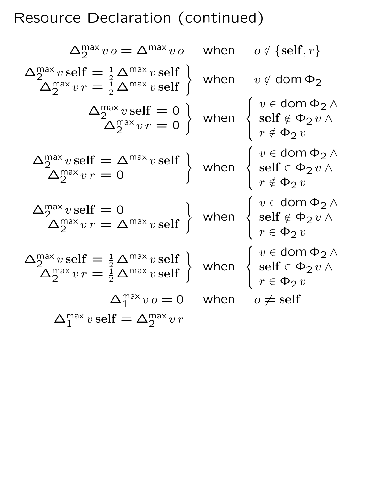# Resource Declaration (continued)

$$
\Delta_2^{\text{max}} v o = \Delta^{\text{max}} v o \quad \text{when} \quad o \notin \{\text{self}, r\}
$$
\n
$$
\Delta_2^{\text{max}} v \text{ self} = \frac{1}{2} \Delta^{\text{max}} v \text{ self} \}
$$
\n
$$
\Delta_2^{\text{max}} v r = \frac{1}{2} \Delta^{\text{max}} v \text{ self} \}
$$
\n
$$
\Delta_2^{\text{max}} v r = 0
$$
\n
$$
\Delta_2^{\text{max}} v r = 0
$$
\n
$$
\Delta_2^{\text{max}} v r = 0
$$
\n
$$
\Delta_2^{\text{max}} v r = 0
$$
\n
$$
\Delta_2^{\text{max}} v r = 0
$$
\n
$$
\Delta_2^{\text{max}} v r = 0
$$
\n
$$
\Delta_2^{\text{max}} v r = 0
$$
\n
$$
\Delta_2^{\text{max}} v r = 0
$$
\n
$$
\Delta_2^{\text{max}} v r = 0
$$
\n
$$
\Delta_2^{\text{max}} v r = 0
$$
\n
$$
\Delta_2^{\text{max}} v r = \Delta^{\text{max}} v \text{ self} \}
$$
\nwhen\n
$$
\begin{cases}\nv \in \text{dom } \Phi_2 \land \\
r \notin \Phi_2 v \\
r \in \Phi_2 v\n\end{cases}
$$
\n
$$
\Delta_2^{\text{max}} v r = \frac{1}{2} \Delta^{\text{max}} v \text{ self} \}
$$
\nwhen\n
$$
\begin{cases}\nv \in \text{dom } \Phi_2 \land \\
r \in \Phi_2 v \\
r \in \Phi_2 v\n\end{cases}
$$
\n
$$
\Delta_2^{\text{max}} v r = \frac{1}{2} \Delta^{\text{max}} v \text{ self} \}
$$
\nwhen\n
$$
\begin{cases}\nv \in \text{dom } \Phi_2 \land \\
r \in \Phi_2 v \\
r \in \Phi_2 v\n\end{cases}
$$
\n
$$
\Delta_1^{\text{max}} v s = 0 \quad \text{when} \quad o \neq \text{self}
$$
\n
$$
\Delta_1^{\text{max}} v \text{ self} = \Delta_2^{\text{max}} v r
$$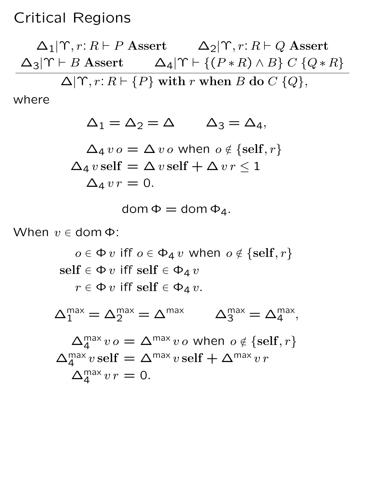#### Critical Regions

 $\Delta_1|\Upsilon, r: R \vdash P$  Assert  $\Delta_2|\Upsilon, r: R \vdash Q$  Assert  $\Delta_3|\Upsilon \vdash B$  Assert  $\Delta_4|\Upsilon \vdash \{(P * R) \land B\} \ C \ \{Q * R\}$  $\Delta|\Upsilon, r: R \vdash \{P\}$  with r when B do  $C \{Q\},$ 

where

 $\Delta_1 = \Delta_2 = \Delta$   $\Delta_3 = \Delta_4$ ,  $\Delta_4 v o = \Delta v o$  when  $o \notin \{ \text{self}, r \}$  $\Delta_4 v$  self =  $\Delta v$  self +  $\Delta v r \leq 1$  $\Delta_4 v r = 0.$ 

$$
dom \Phi = dom \Phi_4.
$$

When  $v \in$  dom  $\Phi$ :

 $o \in \Phi v$  iff  $o \in \Phi_4 v$  when  $o \notin \{ \text{self}, r \}$  $\text{self} \in \Phi v \text{ iff } \text{self} \in \Phi_4 v$  $r \in \Phi v$  iff self  $\in \Phi_4 v$ .

 $\Delta_1^{\text{max}} = \Delta_2^{\text{max}} = \Delta^{\text{max}}$   $\Delta_3^{\text{max}} = \Delta_4^{\text{max}}$ ,

$$
\Delta_4^{\max} v \circ = \Delta^{\max} v \circ \text{ when } \circ \notin \{\text{self}, r\}
$$

$$
\Delta_4^{\max} v \cdot \text{self} = \Delta^{\max} v \cdot \text{self} + \Delta^{\max} v r
$$

$$
\Delta_4^{\max} v r = 0.
$$